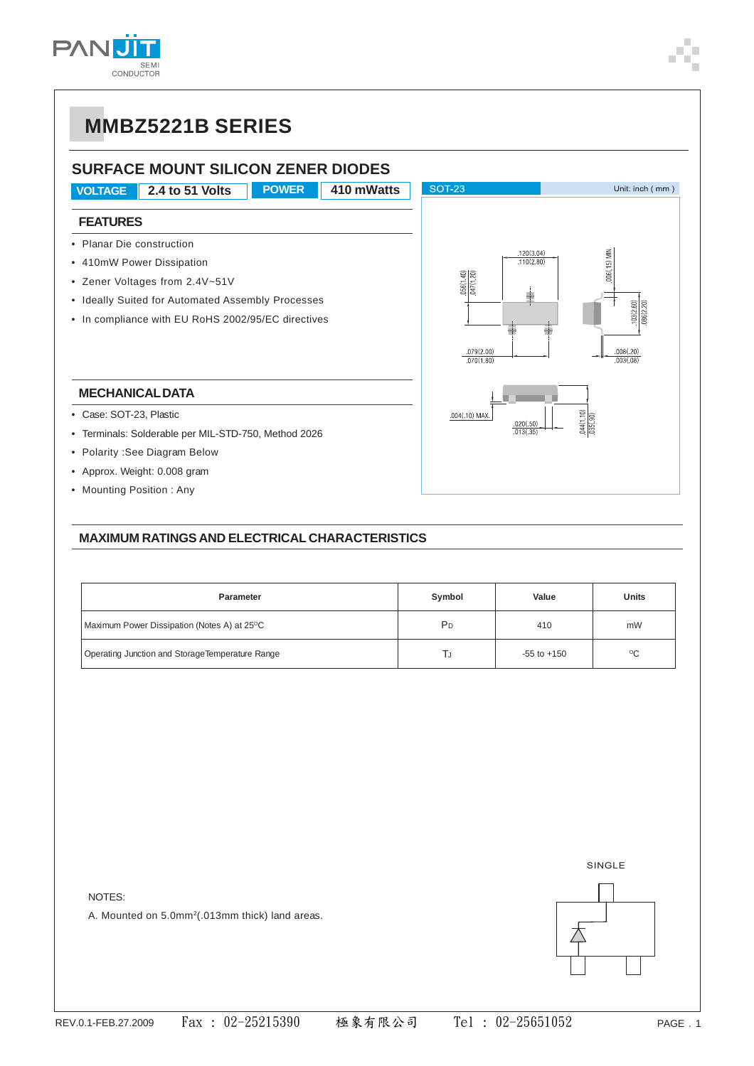

### **SURFACE MOUNT SILICON ZENER DIODES**

**VOLTAGE 2.4 to 51 Volts POWER 410 mWatts SOT-23** Unit: inch (mm) **FEATURES** • Planar Die construction  $120(3.04)$ • 410mW Power Dissipation  $110(2.80)$ ≘i • Zener Voltages from 2.4V~51V • Ideally Suited for Automated Assembly Processes • In compliance with EU RoHS 2002/95/EC directives  $\frac{079(2.00)}{070(1.80)}$ **MECHANICAL DATA** • Case: SOT-23, Plastic  $.004(.10)$  MAX • Terminals: Solderable per MIL-STD-750, Method 2026 • Polarity :See Diagram Below • Approx. Weight: 0.008 gram

• Mounting Position : Any

### **MAXIMUM RATINGS AND ELECTRICAL CHARACTERISTICS**

| <b>Parameter</b>                                | Symbol | Value           | Units        |  |
|-------------------------------------------------|--------|-----------------|--------------|--|
| Maximum Power Dissipation (Notes A) at 25°C     | PD     | 410             | mW           |  |
| Operating Junction and StorageTemperature Range | IJ     | $-55$ to $+150$ | $^{\circ}$ C |  |

NOTES:

A. Mounted on 5.0mm<sup>2</sup>(.013mm thick) land areas.

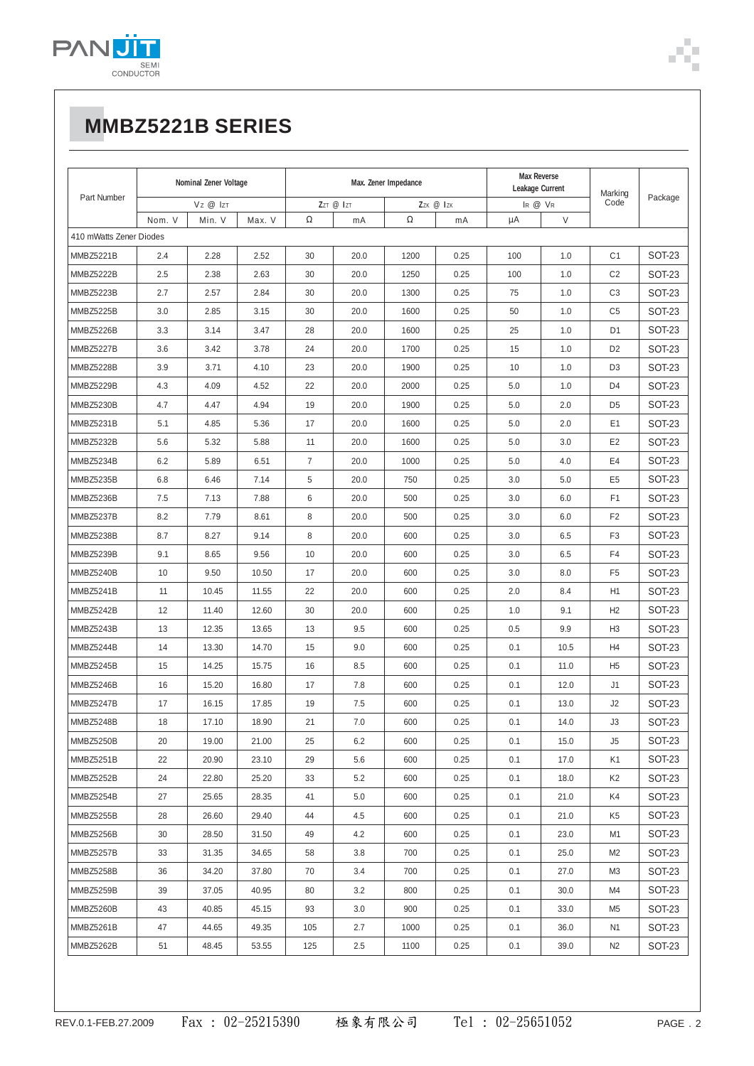

| Part Number             | Nominal Zener Voltage |        | Max. Zener Impedance |           |      | <b>Max Reverse</b><br>Leakage Current |      | Marking |        |                |               |  |
|-------------------------|-----------------------|--------|----------------------|-----------|------|---------------------------------------|------|---------|--------|----------------|---------------|--|
|                         | Vz @ Izt              |        |                      | ZZT @ IZT |      | ZZK @ IZK                             |      | IR @ VR |        | Code           | Package       |  |
|                         | Nom. V                | Min. V | Max. V               | $\Omega$  | mA   | $\Omega$                              | mA   | μA      | $\vee$ |                |               |  |
| 410 mWatts Zener Diodes |                       |        |                      |           |      |                                       |      |         |        |                |               |  |
| <b>MMBZ5221B</b>        | 2.4                   | 2.28   | 2.52                 | 30        | 20.0 | 1200                                  | 0.25 | 100     | 1.0    | C <sub>1</sub> | <b>SOT-23</b> |  |
| <b>MMBZ5222B</b>        | 2.5                   | 2.38   | 2.63                 | 30        | 20.0 | 1250                                  | 0.25 | 100     | 1.0    | C <sub>2</sub> | <b>SOT-23</b> |  |
| <b>MMBZ5223B</b>        | 2.7                   | 2.57   | 2.84                 | 30        | 20.0 | 1300                                  | 0.25 | 75      | 1.0    | C <sub>3</sub> | SOT-23        |  |
| <b>MMBZ5225B</b>        | 3.0                   | 2.85   | 3.15                 | 30        | 20.0 | 1600                                  | 0.25 | 50      | 1.0    | C <sub>5</sub> | SOT-23        |  |
| <b>MMBZ5226B</b>        | 3.3                   | 3.14   | 3.47                 | 28        | 20.0 | 1600                                  | 0.25 | 25      | 1.0    | D <sub>1</sub> | SOT-23        |  |
| <b>MMBZ5227B</b>        | 3.6                   | 3.42   | 3.78                 | 24        | 20.0 | 1700                                  | 0.25 | 15      | 1.0    | D <sub>2</sub> | <b>SOT-23</b> |  |
| <b>MMBZ5228B</b>        | 3.9                   | 3.71   | 4.10                 | 23        | 20.0 | 1900                                  | 0.25 | 10      | 1.0    | D <sub>3</sub> | SOT-23        |  |
| <b>MMBZ5229B</b>        | 4.3                   | 4.09   | 4.52                 | 22        | 20.0 | 2000                                  | 0.25 | 5.0     | 1.0    | D <sub>4</sub> | SOT-23        |  |
| <b>MMBZ5230B</b>        | 4.7                   | 4.47   | 4.94                 | 19        | 20.0 | 1900                                  | 0.25 | 5.0     | 2.0    | D <sub>5</sub> | SOT-23        |  |
| <b>MMBZ5231B</b>        | 5.1                   | 4.85   | 5.36                 | 17        | 20.0 | 1600                                  | 0.25 | 5.0     | 2.0    | E <sub>1</sub> | SOT-23        |  |
| <b>MMBZ5232B</b>        | 5.6                   | 5.32   | 5.88                 | 11        | 20.0 | 1600                                  | 0.25 | 5.0     | 3.0    | E <sub>2</sub> | SOT-23        |  |
| <b>MMBZ5234B</b>        | 6.2                   | 5.89   | 6.51                 | 7         | 20.0 | 1000                                  | 0.25 | 5.0     | 4.0    | E4             | SOT-23        |  |
| <b>MMBZ5235B</b>        | 6.8                   | 6.46   | 7.14                 | 5         | 20.0 | 750                                   | 0.25 | 3.0     | 5.0    | E <sub>5</sub> | SOT-23        |  |
| <b>MMBZ5236B</b>        | 7.5                   | 7.13   | 7.88                 | 6         | 20.0 | 500                                   | 0.25 | 3.0     | 6.0    | F <sub>1</sub> | SOT-23        |  |
| <b>MMBZ5237B</b>        | 8.2                   | 7.79   | 8.61                 | 8         | 20.0 | 500                                   | 0.25 | 3.0     | 6.0    | F <sub>2</sub> | <b>SOT-23</b> |  |
| <b>MMBZ5238B</b>        | 8.7                   | 8.27   | 9.14                 | 8         | 20.0 | 600                                   | 0.25 | 3.0     | 6.5    | F <sub>3</sub> | SOT-23        |  |
| <b>MMBZ5239B</b>        | 9.1                   | 8.65   | 9.56                 | 10        | 20.0 | 600                                   | 0.25 | 3.0     | 6.5    | F <sub>4</sub> | SOT-23        |  |
| <b>MMBZ5240B</b>        | 10                    | 9.50   | 10.50                | 17        | 20.0 | 600                                   | 0.25 | 3.0     | 8.0    | F <sub>5</sub> | SOT-23        |  |
| <b>MMBZ5241B</b>        | 11                    | 10.45  | 11.55                | 22        | 20.0 | 600                                   | 0.25 | 2.0     | 8.4    | H1             | SOT-23        |  |
| <b>MMBZ5242B</b>        | 12                    | 11.40  | 12.60                | 30        | 20.0 | 600                                   | 0.25 | 1.0     | 9.1    | H2             | <b>SOT-23</b> |  |
| <b>MMBZ5243B</b>        | 13                    | 12.35  | 13.65                | 13        | 9.5  | 600                                   | 0.25 | 0.5     | 9.9    | H <sub>3</sub> | SOT-23        |  |
| MMBZ5244B               | 14                    | 13.30  | 14.70                | 15        | 9.0  | 600                                   | 0.25 | 0.1     | 10.5   | H <sub>4</sub> | SOT-23        |  |
| <b>MMBZ5245B</b>        | 15                    | 14.25  | 15.75                | 16        | 8.5  | 600                                   | 0.25 | 0.1     | 11.0   | H <sub>5</sub> | SOT-23        |  |
| <b>MMBZ5246B</b>        | 16                    | 15.20  | 16.80                | 17        | 7.8  | 600                                   | 0.25 | 0.1     | 12.0   | J1             | SOT-23        |  |
| <b>MMBZ5247B</b>        | 17                    | 16.15  | 17.85                | 19        | 7.5  | 600                                   | 0.25 | 0.1     | 13.0   | J2             | SOT-23        |  |
| <b>MMBZ5248B</b>        | 18                    | 17.10  | 18.90                | 21        | 7.0  | 600                                   | 0.25 | 0.1     | 14.0   | J3             | <b>SOT-23</b> |  |
| <b>MMBZ5250B</b>        | 20                    | 19.00  | 21.00                | 25        | 6.2  | 600                                   | 0.25 | 0.1     | 15.0   | J5             | <b>SOT-23</b> |  |
| <b>MMBZ5251B</b>        | 22                    | 20.90  | 23.10                | 29        | 5.6  | 600                                   | 0.25 | 0.1     | 17.0   | K1             | <b>SOT-23</b> |  |
| MMBZ5252B               | 24                    | 22.80  | 25.20                | 33        | 5.2  | 600                                   | 0.25 | 0.1     | 18.0   | K2             | SOT-23        |  |
| MMBZ5254B               | 27                    | 25.65  | 28.35                | 41        | 5.0  | 600                                   | 0.25 | 0.1     | 21.0   | K4             | SOT-23        |  |
| MMBZ5255B               | 28                    | 26.60  | 29.40                | 44        | 4.5  | 600                                   | 0.25 | 0.1     | 21.0   | K5             | SOT-23        |  |
| MMBZ5256B               | 30                    | 28.50  | 31.50                | 49        | 4.2  | 600                                   | 0.25 | 0.1     | 23.0   | M1             | SOT-23        |  |
| MMBZ5257B               | 33                    | 31.35  | 34.65                | 58        | 3.8  | 700                                   | 0.25 | 0.1     | 25.0   | M <sub>2</sub> | SOT-23        |  |
| MMBZ5258B               | 36                    | 34.20  | 37.80                | 70        | 3.4  | 700                                   | 0.25 | 0.1     | 27.0   | M3             | SOT-23        |  |
| MMBZ5259B               | 39                    | 37.05  | 40.95                | 80        | 3.2  | 800                                   | 0.25 | 0.1     | 30.0   | M4             | SOT-23        |  |
| MMBZ5260B               | 43                    | 40.85  | 45.15                | 93        | 3.0  | 900                                   | 0.25 | 0.1     | 33.0   | M <sub>5</sub> | SOT-23        |  |
| MMBZ5261B               | 47                    | 44.65  | 49.35                | 105       | 2.7  | 1000                                  | 0.25 | 0.1     | 36.0   | N <sub>1</sub> | SOT-23        |  |
| MMBZ5262B               | 51                    | 48.45  | 53.55                | 125       | 2.5  | 1100                                  | 0.25 | 0.1     | 39.0   | N <sub>2</sub> | <b>SOT-23</b> |  |
|                         |                       |        |                      |           |      |                                       |      |         |        |                |               |  |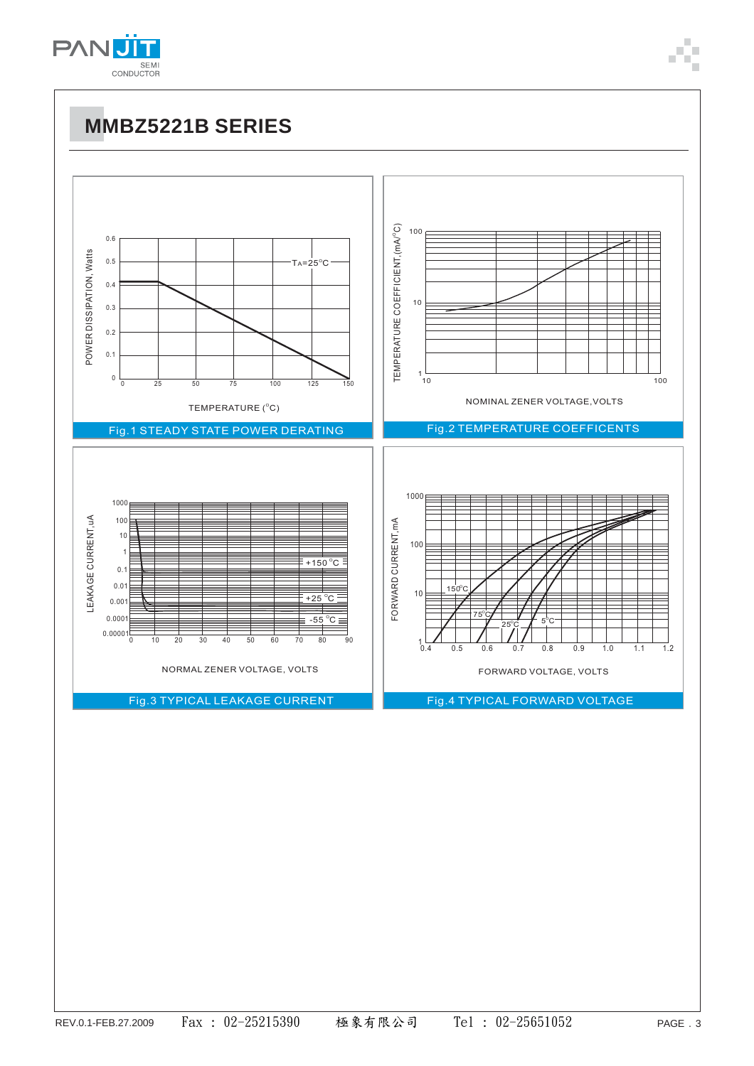